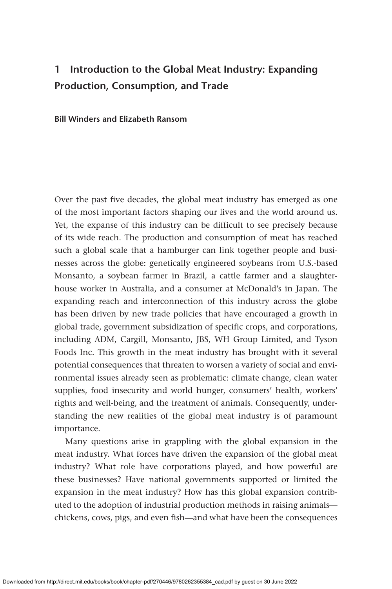## **1 Introduction to the Global Meat Industry: Expanding Production, Consumption, and Trade**

**Bill Winders and Elizabeth Ransom**

Over the past five decades, the global meat industry has emerged as one of the most important factors shaping our lives and the world around us. Yet, the expanse of this industry can be difficult to see precisely because of its wide reach. The production and consumption of meat has reached such a global scale that a hamburger can link together people and businesses across the globe: genetically engineered soybeans from U.S.-based Monsanto, a soybean farmer in Brazil, a cattle farmer and a slaughterhouse worker in Australia, and a consumer at McDonald's in Japan. The expanding reach and interconnection of this industry across the globe has been driven by new trade policies that have encouraged a growth in global trade, government subsidization of specific crops, and corporations, including ADM, Cargill, Monsanto, JBS, WH Group Limited, and Tyson Foods Inc. This growth in the meat industry has brought with it several potential consequences that threaten to worsen a variety of social and environmental issues already seen as problematic: climate change, clean water supplies, food insecurity and world hunger, consumers' health, workers' rights and well-being, and the treatment of animals. Consequently, understanding the new realities of the global meat industry is of paramount importance.

Many questions arise in grappling with the global expansion in the meat industry. What forces have driven the expansion of the global meat industry? What role have corporations played, and how powerful are these businesses? Have national governments supported or limited the expansion in the meat industry? How has this global expansion contributed to the adoption of industrial production methods in raising animals chickens, cows, pigs, and even fish—and what have been the consequences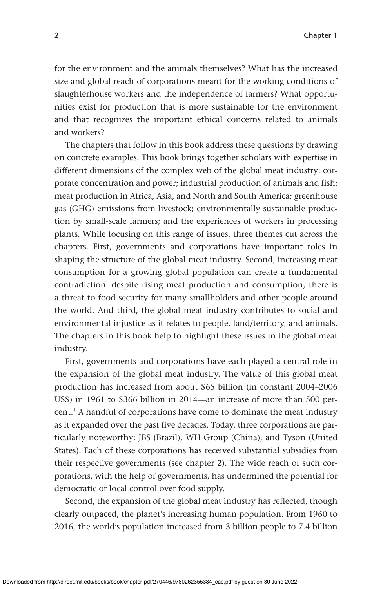for the environment and the animals themselves? What has the increased size and global reach of corporations meant for the working conditions of slaughterhouse workers and the independence of farmers? What opportunities exist for production that is more sustainable for the environment and that recognizes the important ethical concerns related to animals and workers?

The chapters that follow in this book address these questions by drawing on concrete examples. This book brings together scholars with expertise in different dimensions of the complex web of the global meat industry: corporate concentration and power; industrial production of animals and fish; meat production in Africa, Asia, and North and South America; greenhouse gas (GHG) emissions from livestock; environmentally sustainable production by small-scale farmers; and the experiences of workers in processing plants. While focusing on this range of issues, three themes cut across the chapters. First, governments and corporations have important roles in shaping the structure of the global meat industry. Second, increasing meat consumption for a growing global population can create a fundamental contradiction: despite rising meat production and consumption, there is a threat to food security for many smallholders and other people around the world. And third, the global meat industry contributes to social and environmental injustice as it relates to people, land/territory, and animals. The chapters in this book help to highlight these issues in the global meat industry.

First, governments and corporations have each played a central role in the expansion of the global meat industry. The value of this global meat production has increased from about \$65 billion (in constant 2004–2006 US\$) in 1961 to \$366 billion in 2014—an increase of more than 500 percent.<sup>1</sup> A handful of corporations have come to dominate the meat industry as it expanded over the past five decades. Today, three corporations are particularly noteworthy: JBS (Brazil), WH Group (China), and Tyson (United States). Each of these corporations has received substantial subsidies from their respective governments (see chapter 2). The wide reach of such corporations, with the help of governments, has undermined the potential for democratic or local control over food supply.

Second, the expansion of the global meat industry has reflected, though clearly outpaced, the planet's increasing human population. From 1960 to 2016, the world's population increased from 3 billion people to 7.4 billion